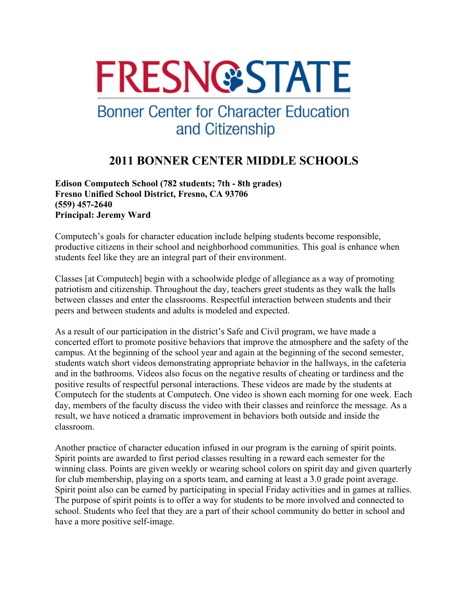# **FRESN@STATE**

## **Bonner Center for Character Education** and Citizenship

### **2011 BONNER CENTER MIDDLE SCHOOLS**

**Edison Computech School (782 students; 7th - 8th grades) Fresno Unified School District, Fresno, CA 93706 (559) 457-2640 Principal: Jeremy Ward** 

Computech's goals for character education include helping students become responsible, productive citizens in their school and neighborhood communities. This goal is enhance when students feel like they are an integral part of their environment.

Classes [at Computech] begin with a schoolwide pledge of allegiance as a way of promoting patriotism and citizenship. Throughout the day, teachers greet students as they walk the halls between classes and enter the classrooms. Respectful interaction between students and their peers and between students and adults is modeled and expected.

As a result of our participation in the district's Safe and Civil program, we have made a concerted effort to promote positive behaviors that improve the atmosphere and the safety of the campus. At the beginning of the school year and again at the beginning of the second semester, students watch short videos demonstrating appropriate behavior in the hallways, in the cafeteria and in the bathrooms. Videos also focus on the negative results of cheating or tardiness and the positive results of respectful personal interactions. These videos are made by the students at Computech for the students at Computech. One video is shown each morning for one week. Each day, members of the faculty discuss the video with their classes and reinforce the message. As a result, we have noticed a dramatic improvement in behaviors both outside and inside the classroom.

Another practice of character education infused in our program is the earning of spirit points. Spirit points are awarded to first period classes resulting in a reward each semester for the winning class. Points are given weekly or wearing school colors on spirit day and given quarterly for club membership, playing on a sports team, and earning at least a 3.0 grade point average. Spirit point also can be earned by participating in special Friday activities and in games at rallies. The purpose of spirit points is to offer a way for students to be more involved and connected to school. Students who feel that they are a part of their school community do better in school and have a more positive self-image.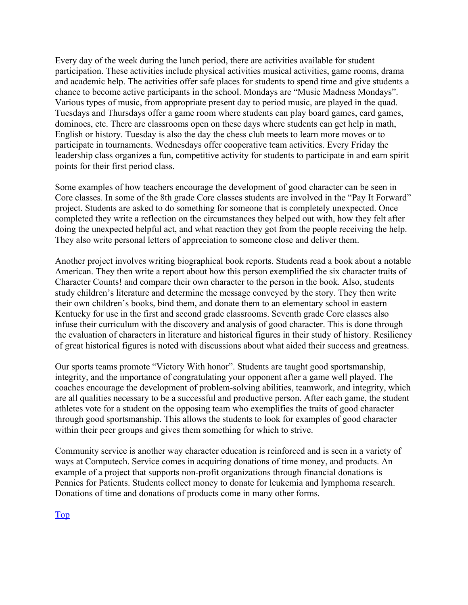Every day of the week during the lunch period, there are activities available for student participation. These activities include physical activities musical activities, game rooms, drama and academic help. The activities offer safe places for students to spend time and give students a chance to become active participants in the school. Mondays are "Music Madness Mondays". Various types of music, from appropriate present day to period music, are played in the quad. Tuesdays and Thursdays offer a game room where students can play board games, card games, dominoes, etc. There are classrooms open on these days where students can get help in math, English or history. Tuesday is also the day the chess club meets to learn more moves or to participate in tournaments. Wednesdays offer cooperative team activities. Every Friday the leadership class organizes a fun, competitive activity for students to participate in and earn spirit points for their first period class.

Some examples of how teachers encourage the development of good character can be seen in Core classes. In some of the 8th grade Core classes students are involved in the "Pay It Forward" project. Students are asked to do something for someone that is completely unexpected. Once completed they write a reflection on the circumstances they helped out with, how they felt after doing the unexpected helpful act, and what reaction they got from the people receiving the help. They also write personal letters of appreciation to someone close and deliver them.

Another project involves writing biographical book reports. Students read a book about a notable American. They then write a report about how this person exemplified the six character traits of Character Counts! and compare their own character to the person in the book. Also, students study children's literature and determine the message conveyed by the story. They then write their own children's books, bind them, and donate them to an elementary school in eastern Kentucky for use in the first and second grade classrooms. Seventh grade Core classes also infuse their curriculum with the discovery and analysis of good character. This is done through the evaluation of characters in literature and historical figures in their study of history. Resiliency of great historical figures is noted with discussions about what aided their success and greatness.

Our sports teams promote "Victory With honor". Students are taught good sportsmanship, integrity, and the importance of congratulating your opponent after a game well played. The coaches encourage the development of problem-solving abilities, teamwork, and integrity, which are all qualities necessary to be a successful and productive person. After each game, the student athletes vote for a student on the opposing team who exemplifies the traits of good character through good sportsmanship. This allows the students to look for examples of good character within their peer groups and gives them something for which to strive.

Community service is another way character education is reinforced and is seen in a variety of ways at Computech. Service comes in acquiring donations of time money, and products. An example of a project that supports non-profit organizations through financial donations is Pennies for Patients. Students collect money to donate for leukemia and lymphoma research. Donations of time and donations of products come in many other forms.

Top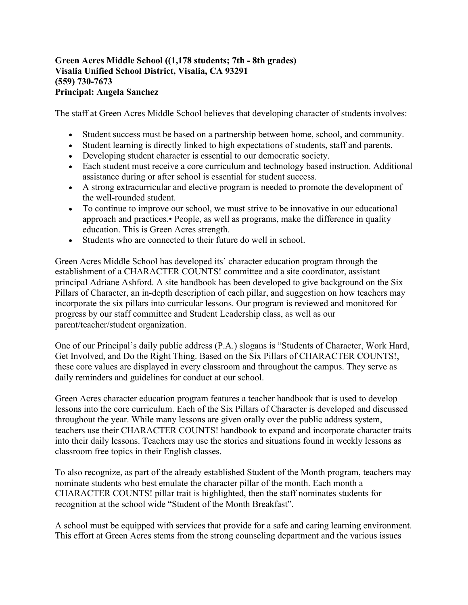#### **Green Acres Middle School ((1,178 students; 7th - 8th grades) Visalia Unified School District, Visalia, CA 93291 (559) 730-7673 Principal: Angela Sanchez**

The staff at Green Acres Middle School believes that developing character of students involves:

- Student success must be based on a partnership between home, school, and community.
- Student learning is directly linked to high expectations of students, staff and parents.
- Developing student character is essential to our democratic society.
- Each student must receive a core curriculum and technology based instruction. Additional assistance during or after school is essential for student success.
- A strong extracurricular and elective program is needed to promote the development of the well-rounded student.
- To continue to improve our school, we must strive to be innovative in our educational approach and practices.• People, as well as programs, make the difference in quality education. This is Green Acres strength.
- Students who are connected to their future do well in school.

Green Acres Middle School has developed its' character education program through the establishment of a CHARACTER COUNTS! committee and a site coordinator, assistant principal Adriane Ashford. A site handbook has been developed to give background on the Six Pillars of Character, an in-depth description of each pillar, and suggestion on how teachers may incorporate the six pillars into curricular lessons. Our program is reviewed and monitored for progress by our staff committee and Student Leadership class, as well as our parent/teacher/student organization.

One of our Principal's daily public address (P.A.) slogans is "Students of Character, Work Hard, Get Involved, and Do the Right Thing. Based on the Six Pillars of CHARACTER COUNTS!, these core values are displayed in every classroom and throughout the campus. They serve as daily reminders and guidelines for conduct at our school.

Green Acres character education program features a teacher handbook that is used to develop lessons into the core curriculum. Each of the Six Pillars of Character is developed and discussed throughout the year. While many lessons are given orally over the public address system, teachers use their CHARACTER COUNTS! handbook to expand and incorporate character traits into their daily lessons. Teachers may use the stories and situations found in weekly lessons as classroom free topics in their English classes.

To also recognize, as part of the already established Student of the Month program, teachers may nominate students who best emulate the character pillar of the month. Each month a CHARACTER COUNTS! pillar trait is highlighted, then the staff nominates students for recognition at the school wide "Student of the Month Breakfast".

A school must be equipped with services that provide for a safe and caring learning environment. This effort at Green Acres stems from the strong counseling department and the various issues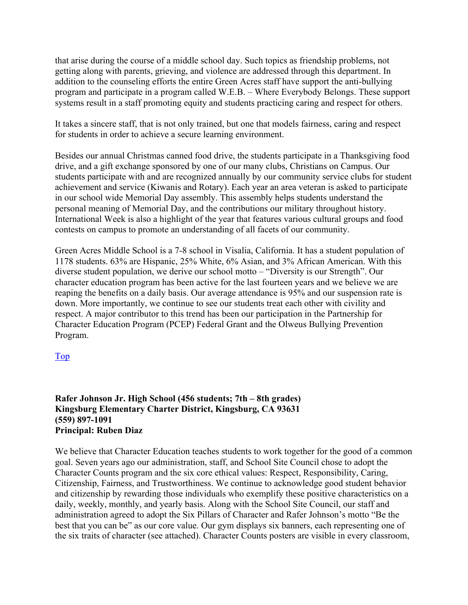that arise during the course of a middle school day. Such topics as friendship problems, not getting along with parents, grieving, and violence are addressed through this department. In addition to the counseling efforts the entire Green Acres staff have support the anti-bullying program and participate in a program called W.E.B. – Where Everybody Belongs. These support systems result in a staff promoting equity and students practicing caring and respect for others.

It takes a sincere staff, that is not only trained, but one that models fairness, caring and respect for students in order to achieve a secure learning environment.

Besides our annual Christmas canned food drive, the students participate in a Thanksgiving food drive, and a gift exchange sponsored by one of our many clubs, Christians on Campus. Our students participate with and are recognized annually by our community service clubs for student achievement and service (Kiwanis and Rotary). Each year an area veteran is asked to participate in our school wide Memorial Day assembly. This assembly helps students understand the personal meaning of Memorial Day, and the contributions our military throughout history. International Week is also a highlight of the year that features various cultural groups and food contests on campus to promote an understanding of all facets of our community.

Green Acres Middle School is a 7-8 school in Visalia, California. It has a student population of 1178 students. 63% are Hispanic, 25% White, 6% Asian, and 3% African American. With this diverse student population, we derive our school motto – "Diversity is our Strength". Our character education program has been active for the last fourteen years and we believe we are reaping the benefits on a daily basis. Our average attendance is 95% and our suspension rate is down. More importantly, we continue to see our students treat each other with civility and respect. A major contributor to this trend has been our participation in the Partnership for Character Education Program (PCEP) Federal Grant and the Olweus Bullying Prevention Program.

#### Top

#### **Rafer Johnson Jr. High School (456 students; 7th – 8th grades) Kingsburg Elementary Charter District, Kingsburg, CA 93631 (559) 897-1091 Principal: Ruben Diaz**

We believe that Character Education teaches students to work together for the good of a common goal. Seven years ago our administration, staff, and School Site Council chose to adopt the Character Counts program and the six core ethical values: Respect, Responsibility, Caring, Citizenship, Fairness, and Trustworthiness. We continue to acknowledge good student behavior and citizenship by rewarding those individuals who exemplify these positive characteristics on a daily, weekly, monthly, and yearly basis. Along with the School Site Council, our staff and administration agreed to adopt the Six Pillars of Character and Rafer Johnson's motto "Be the best that you can be" as our core value. Our gym displays six banners, each representing one of the six traits of character (see attached). Character Counts posters are visible in every classroom,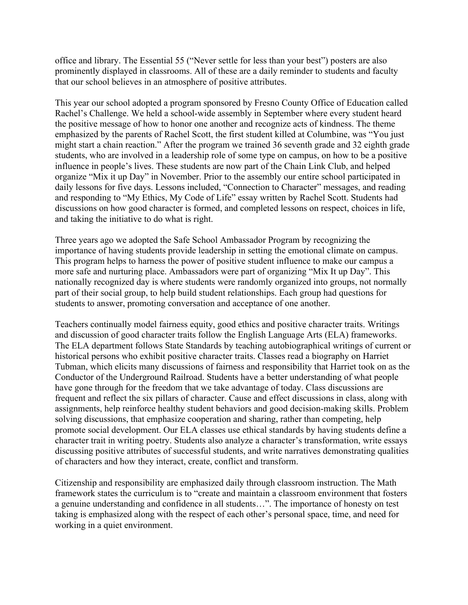office and library. The Essential 55 ("Never settle for less than your best") posters are also prominently displayed in classrooms. All of these are a daily reminder to students and faculty that our school believes in an atmosphere of positive attributes.

This year our school adopted a program sponsored by Fresno County Office of Education called Rachel's Challenge. We held a school-wide assembly in September where every student heard the positive message of how to honor one another and recognize acts of kindness. The theme emphasized by the parents of Rachel Scott, the first student killed at Columbine, was "You just might start a chain reaction." After the program we trained 36 seventh grade and 32 eighth grade students, who are involved in a leadership role of some type on campus, on how to be a positive influence in people's lives. These students are now part of the Chain Link Club, and helped organize "Mix it up Day" in November. Prior to the assembly our entire school participated in daily lessons for five days. Lessons included, "Connection to Character" messages, and reading and responding to "My Ethics, My Code of Life" essay written by Rachel Scott. Students had discussions on how good character is formed, and completed lessons on respect, choices in life, and taking the initiative to do what is right.

Three years ago we adopted the Safe School Ambassador Program by recognizing the importance of having students provide leadership in setting the emotional climate on campus. This program helps to harness the power of positive student influence to make our campus a more safe and nurturing place. Ambassadors were part of organizing "Mix It up Day". This nationally recognized day is where students were randomly organized into groups, not normally part of their social group, to help build student relationships. Each group had questions for students to answer, promoting conversation and acceptance of one another.

Teachers continually model fairness equity, good ethics and positive character traits. Writings and discussion of good character traits follow the English Language Arts (ELA) frameworks. The ELA department follows State Standards by teaching autobiographical writings of current or historical persons who exhibit positive character traits. Classes read a biography on Harriet Tubman, which elicits many discussions of fairness and responsibility that Harriet took on as the Conductor of the Underground Railroad. Students have a better understanding of what people have gone through for the freedom that we take advantage of today. Class discussions are frequent and reflect the six pillars of character. Cause and effect discussions in class, along with assignments, help reinforce healthy student behaviors and good decision-making skills. Problem solving discussions, that emphasize cooperation and sharing, rather than competing, help promote social development. Our ELA classes use ethical standards by having students define a character trait in writing poetry. Students also analyze a character's transformation, write essays discussing positive attributes of successful students, and write narratives demonstrating qualities of characters and how they interact, create, conflict and transform.

Citizenship and responsibility are emphasized daily through classroom instruction. The Math framework states the curriculum is to "create and maintain a classroom environment that fosters a genuine understanding and confidence in all students…". The importance of honesty on test taking is emphasized along with the respect of each other's personal space, time, and need for working in a quiet environment.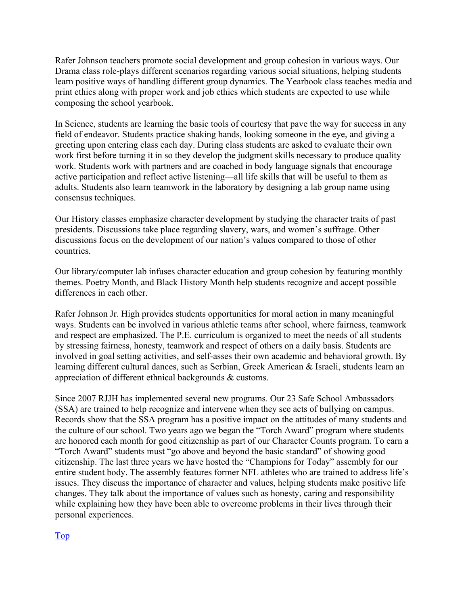Rafer Johnson teachers promote social development and group cohesion in various ways. Our Drama class role-plays different scenarios regarding various social situations, helping students learn positive ways of handling different group dynamics. The Yearbook class teaches media and print ethics along with proper work and job ethics which students are expected to use while composing the school yearbook.

In Science, students are learning the basic tools of courtesy that pave the way for success in any field of endeavor. Students practice shaking hands, looking someone in the eye, and giving a greeting upon entering class each day. During class students are asked to evaluate their own work first before turning it in so they develop the judgment skills necessary to produce quality work. Students work with partners and are coached in body language signals that encourage active participation and reflect active listening—all life skills that will be useful to them as adults. Students also learn teamwork in the laboratory by designing a lab group name using consensus techniques.

Our History classes emphasize character development by studying the character traits of past presidents. Discussions take place regarding slavery, wars, and women's suffrage. Other discussions focus on the development of our nation's values compared to those of other countries.

Our library/computer lab infuses character education and group cohesion by featuring monthly themes. Poetry Month, and Black History Month help students recognize and accept possible differences in each other.

Rafer Johnson Jr. High provides students opportunities for moral action in many meaningful ways. Students can be involved in various athletic teams after school, where fairness, teamwork and respect are emphasized. The P.E. curriculum is organized to meet the needs of all students by stressing fairness, honesty, teamwork and respect of others on a daily basis. Students are involved in goal setting activities, and self-asses their own academic and behavioral growth. By learning different cultural dances, such as Serbian, Greek American & Israeli, students learn an appreciation of different ethnical backgrounds & customs.

Since 2007 RJJH has implemented several new programs. Our 23 Safe School Ambassadors (SSA) are trained to help recognize and intervene when they see acts of bullying on campus. Records show that the SSA program has a positive impact on the attitudes of many students and the culture of our school. Two years ago we began the "Torch Award" program where students are honored each month for good citizenship as part of our Character Counts program. To earn a "Torch Award" students must "go above and beyond the basic standard" of showing good citizenship. The last three years we have hosted the "Champions for Today" assembly for our entire student body. The assembly features former NFL athletes who are trained to address life's issues. They discuss the importance of character and values, helping students make positive life changes. They talk about the importance of values such as honesty, caring and responsibility while explaining how they have been able to overcome problems in their lives through their personal experiences.

Top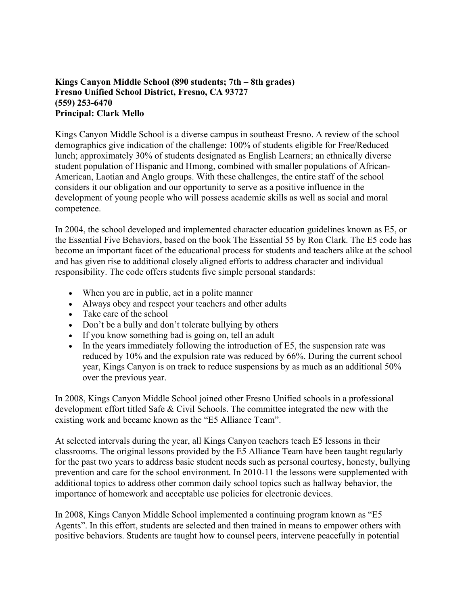#### **Kings Canyon Middle School (890 students; 7th – 8th grades) Fresno Unified School District, Fresno, CA 93727 (559) 253-6470 Principal: Clark Mello**

Kings Canyon Middle School is a diverse campus in southeast Fresno. A review of the school demographics give indication of the challenge: 100% of students eligible for Free/Reduced lunch; approximately 30% of students designated as English Learners; an ethnically diverse student population of Hispanic and Hmong, combined with smaller populations of African-American, Laotian and Anglo groups. With these challenges, the entire staff of the school considers it our obligation and our opportunity to serve as a positive influence in the development of young people who will possess academic skills as well as social and moral competence.

In 2004, the school developed and implemented character education guidelines known as E5, or the Essential Five Behaviors, based on the book The Essential 55 by Ron Clark. The E5 code has become an important facet of the educational process for students and teachers alike at the school and has given rise to additional closely aligned efforts to address character and individual responsibility. The code offers students five simple personal standards:

- When you are in public, act in a polite manner
- Always obey and respect your teachers and other adults
- Take care of the school
- Don't be a bully and don't tolerate bullying by others
- If you know something bad is going on, tell an adult
- In the years immediately following the introduction of E5, the suspension rate was reduced by 10% and the expulsion rate was reduced by 66%. During the current school year, Kings Canyon is on track to reduce suspensions by as much as an additional 50% over the previous year.

In 2008, Kings Canyon Middle School joined other Fresno Unified schools in a professional development effort titled Safe & Civil Schools. The committee integrated the new with the existing work and became known as the "E5 Alliance Team".

At selected intervals during the year, all Kings Canyon teachers teach E5 lessons in their classrooms. The original lessons provided by the E5 Alliance Team have been taught regularly for the past two years to address basic student needs such as personal courtesy, honesty, bullying prevention and care for the school environment. In 2010-11 the lessons were supplemented with additional topics to address other common daily school topics such as hallway behavior, the importance of homework and acceptable use policies for electronic devices.

In 2008, Kings Canyon Middle School implemented a continuing program known as "E5 Agents". In this effort, students are selected and then trained in means to empower others with positive behaviors. Students are taught how to counsel peers, intervene peacefully in potential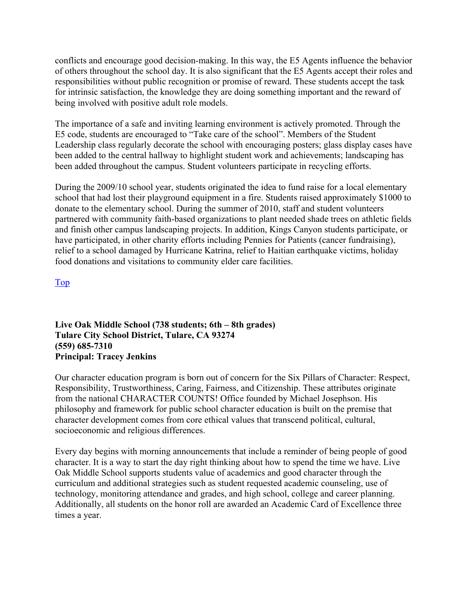conflicts and encourage good decision-making. In this way, the E5 Agents influence the behavior of others throughout the school day. It is also significant that the E5 Agents accept their roles and responsibilities without public recognition or promise of reward. These students accept the task for intrinsic satisfaction, the knowledge they are doing something important and the reward of being involved with positive adult role models.

The importance of a safe and inviting learning environment is actively promoted. Through the E5 code, students are encouraged to "Take care of the school". Members of the Student Leadership class regularly decorate the school with encouraging posters; glass display cases have been added to the central hallway to highlight student work and achievements; landscaping has been added throughout the campus. Student volunteers participate in recycling efforts.

During the 2009/10 school year, students originated the idea to fund raise for a local elementary school that had lost their playground equipment in a fire. Students raised approximately \$1000 to donate to the elementary school. During the summer of 2010, staff and student volunteers partnered with community faith-based organizations to plant needed shade trees on athletic fields and finish other campus landscaping projects. In addition, Kings Canyon students participate, or have participated, in other charity efforts including Pennies for Patients (cancer fundraising), relief to a school damaged by Hurricane Katrina, relief to Haitian earthquake victims, holiday food donations and visitations to community elder care facilities.

Top

**Live Oak Middle School (738 students; 6th – 8th grades) Tulare City School District, Tulare, CA 93274 (559) 685-7310 Principal: Tracey Jenkins** 

Our character education program is born out of concern for the Six Pillars of Character: Respect, Responsibility, Trustworthiness, Caring, Fairness, and Citizenship. These attributes originate from the national CHARACTER COUNTS! Office founded by Michael Josephson. His philosophy and framework for public school character education is built on the premise that character development comes from core ethical values that transcend political, cultural, socioeconomic and religious differences.

Every day begins with morning announcements that include a reminder of being people of good character. It is a way to start the day right thinking about how to spend the time we have. Live Oak Middle School supports students value of academics and good character through the curriculum and additional strategies such as student requested academic counseling, use of technology, monitoring attendance and grades, and high school, college and career planning. Additionally, all students on the honor roll are awarded an Academic Card of Excellence three times a year.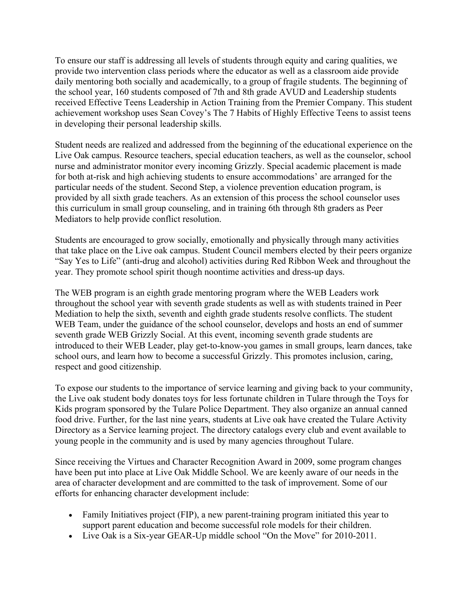To ensure our staff is addressing all levels of students through equity and caring qualities, we provide two intervention class periods where the educator as well as a classroom aide provide daily mentoring both socially and academically, to a group of fragile students. The beginning of the school year, 160 students composed of 7th and 8th grade AVUD and Leadership students received Effective Teens Leadership in Action Training from the Premier Company. This student achievement workshop uses Sean Covey's The 7 Habits of Highly Effective Teens to assist teens in developing their personal leadership skills.

Student needs are realized and addressed from the beginning of the educational experience on the Live Oak campus. Resource teachers, special education teachers, as well as the counselor, school nurse and administrator monitor every incoming Grizzly. Special academic placement is made for both at-risk and high achieving students to ensure accommodations' are arranged for the particular needs of the student. Second Step, a violence prevention education program, is provided by all sixth grade teachers. As an extension of this process the school counselor uses this curriculum in small group counseling, and in training 6th through 8th graders as Peer Mediators to help provide conflict resolution.

Students are encouraged to grow socially, emotionally and physically through many activities that take place on the Live oak campus. Student Council members elected by their peers organize "Say Yes to Life" (anti-drug and alcohol) activities during Red Ribbon Week and throughout the year. They promote school spirit though noontime activities and dress-up days.

The WEB program is an eighth grade mentoring program where the WEB Leaders work throughout the school year with seventh grade students as well as with students trained in Peer Mediation to help the sixth, seventh and eighth grade students resolve conflicts. The student WEB Team, under the guidance of the school counselor, develops and hosts an end of summer seventh grade WEB Grizzly Social. At this event, incoming seventh grade students are introduced to their WEB Leader, play get-to-know-you games in small groups, learn dances, take school ours, and learn how to become a successful Grizzly. This promotes inclusion, caring, respect and good citizenship.

To expose our students to the importance of service learning and giving back to your community, the Live oak student body donates toys for less fortunate children in Tulare through the Toys for Kids program sponsored by the Tulare Police Department. They also organize an annual canned food drive. Further, for the last nine years, students at Live oak have created the Tulare Activity Directory as a Service learning project. The directory catalogs every club and event available to young people in the community and is used by many agencies throughout Tulare.

Since receiving the Virtues and Character Recognition Award in 2009, some program changes have been put into place at Live Oak Middle School. We are keenly aware of our needs in the area of character development and are committed to the task of improvement. Some of our efforts for enhancing character development include:

- Family Initiatives project (FIP), a new parent-training program initiated this year to support parent education and become successful role models for their children.
- Live Oak is a Six-year GEAR-Up middle school "On the Move" for 2010-2011.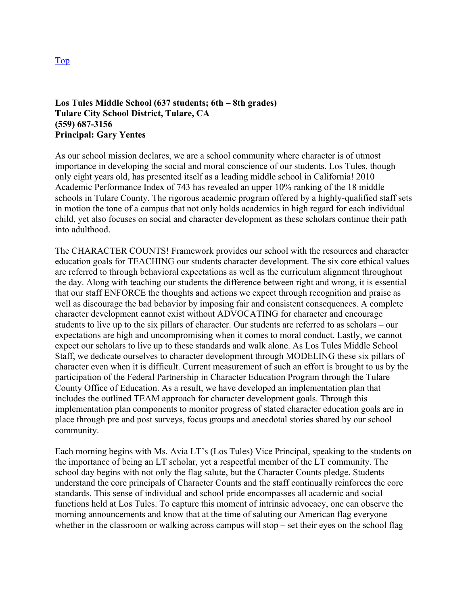#### **Los Tules Middle School (637 students; 6th – 8th grades) Tulare City School District, Tulare, CA (559) 687-3156 Principal: Gary Yentes**

As our school mission declares, we are a school community where character is of utmost importance in developing the social and moral conscience of our students. Los Tules, though only eight years old, has presented itself as a leading middle school in California! 2010 Academic Performance Index of 743 has revealed an upper 10% ranking of the 18 middle schools in Tulare County. The rigorous academic program offered by a highly-qualified staff sets in motion the tone of a campus that not only holds academics in high regard for each individual child, yet also focuses on social and character development as these scholars continue their path into adulthood.

The CHARACTER COUNTS! Framework provides our school with the resources and character education goals for TEACHING our students character development. The six core ethical values are referred to through behavioral expectations as well as the curriculum alignment throughout the day. Along with teaching our students the difference between right and wrong, it is essential that our staff ENFORCE the thoughts and actions we expect through recognition and praise as well as discourage the bad behavior by imposing fair and consistent consequences. A complete character development cannot exist without ADVOCATING for character and encourage students to live up to the six pillars of character. Our students are referred to as scholars – our expectations are high and uncompromising when it comes to moral conduct. Lastly, we cannot expect our scholars to live up to these standards and walk alone. As Los Tules Middle School Staff, we dedicate ourselves to character development through MODELING these six pillars of character even when it is difficult. Current measurement of such an effort is brought to us by the participation of the Federal Partnership in Character Education Program through the Tulare County Office of Education. As a result, we have developed an implementation plan that includes the outlined TEAM approach for character development goals. Through this implementation plan components to monitor progress of stated character education goals are in place through pre and post surveys, focus groups and anecdotal stories shared by our school community.

Each morning begins with Ms. Avia LT's (Los Tules) Vice Principal, speaking to the students on the importance of being an LT scholar, yet a respectful member of the LT community. The school day begins with not only the flag salute, but the Character Counts pledge. Students understand the core principals of Character Counts and the staff continually reinforces the core standards. This sense of individual and school pride encompasses all academic and social functions held at Los Tules. To capture this moment of intrinsic advocacy, one can observe the morning announcements and know that at the time of saluting our American flag everyone whether in the classroom or walking across campus will stop – set their eyes on the school flag

Top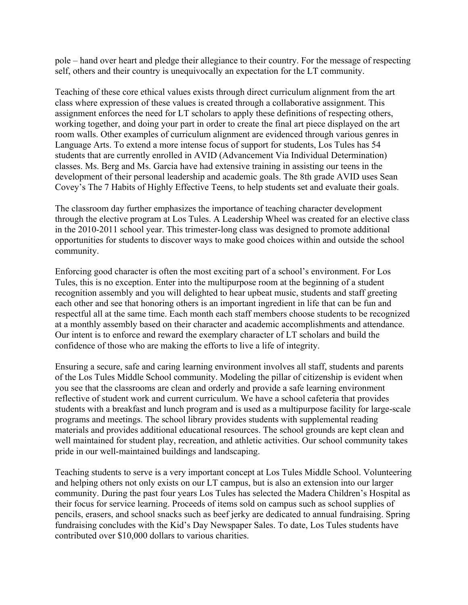pole – hand over heart and pledge their allegiance to their country. For the message of respecting self, others and their country is unequivocally an expectation for the LT community.

Teaching of these core ethical values exists through direct curriculum alignment from the art class where expression of these values is created through a collaborative assignment. This assignment enforces the need for LT scholars to apply these definitions of respecting others, working together, and doing your part in order to create the final art piece displayed on the art room walls. Other examples of curriculum alignment are evidenced through various genres in Language Arts. To extend a more intense focus of support for students, Los Tules has 54 students that are currently enrolled in AVID (Advancement Via Individual Determination) classes. Ms. Berg and Ms. Garcia have had extensive training in assisting our teens in the development of their personal leadership and academic goals. The 8th grade AVID uses Sean Covey's The 7 Habits of Highly Effective Teens, to help students set and evaluate their goals.

The classroom day further emphasizes the importance of teaching character development through the elective program at Los Tules. A Leadership Wheel was created for an elective class in the 2010-2011 school year. This trimester-long class was designed to promote additional opportunities for students to discover ways to make good choices within and outside the school community.

Enforcing good character is often the most exciting part of a school's environment. For Los Tules, this is no exception. Enter into the multipurpose room at the beginning of a student recognition assembly and you will delighted to hear upbeat music, students and staff greeting each other and see that honoring others is an important ingredient in life that can be fun and respectful all at the same time. Each month each staff members choose students to be recognized at a monthly assembly based on their character and academic accomplishments and attendance. Our intent is to enforce and reward the exemplary character of LT scholars and build the confidence of those who are making the efforts to live a life of integrity.

Ensuring a secure, safe and caring learning environment involves all staff, students and parents of the Los Tules Middle School community. Modeling the pillar of citizenship is evident when you see that the classrooms are clean and orderly and provide a safe learning environment reflective of student work and current curriculum. We have a school cafeteria that provides students with a breakfast and lunch program and is used as a multipurpose facility for large-scale programs and meetings. The school library provides students with supplemental reading materials and provides additional educational resources. The school grounds are kept clean and well maintained for student play, recreation, and athletic activities. Our school community takes pride in our well-maintained buildings and landscaping.

Teaching students to serve is a very important concept at Los Tules Middle School. Volunteering and helping others not only exists on our LT campus, but is also an extension into our larger community. During the past four years Los Tules has selected the Madera Children's Hospital as their focus for service learning. Proceeds of items sold on campus such as school supplies of pencils, erasers, and school snacks such as beef jerky are dedicated to annual fundraising. Spring fundraising concludes with the Kid's Day Newspaper Sales. To date, Los Tules students have contributed over \$10,000 dollars to various charities.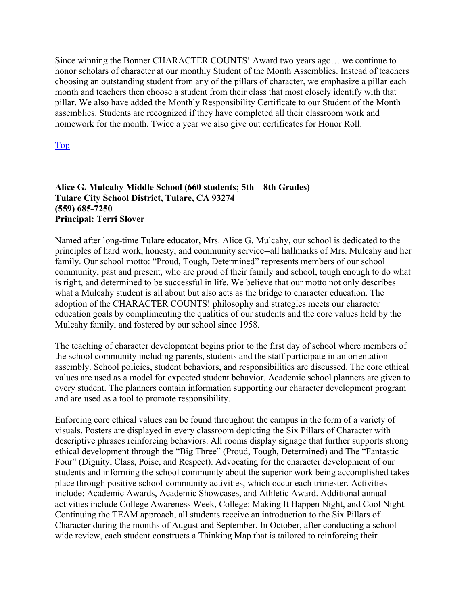Since winning the Bonner CHARACTER COUNTS! Award two years ago… we continue to honor scholars of character at our monthly Student of the Month Assemblies. Instead of teachers choosing an outstanding student from any of the pillars of character, we emphasize a pillar each month and teachers then choose a student from their class that most closely identify with that pillar. We also have added the Monthly Responsibility Certificate to our Student of the Month assemblies. Students are recognized if they have completed all their classroom work and homework for the month. Twice a year we also give out certificates for Honor Roll.

Top

#### **Alice G. Mulcahy Middle School (660 students; 5th – 8th Grades) Tulare City School District, Tulare, CA 93274 (559) 685-7250 Principal: Terri Slover**

Named after long‐time Tulare educator, Mrs. Alice G. Mulcahy, our school is dedicated to the principles of hard work, honesty, and community service‐‐all hallmarks of Mrs. Mulcahy and her family. Our school motto: "Proud, Tough, Determined" represents members of our school community, past and present, who are proud of their family and school, tough enough to do what is right, and determined to be successful in life. We believe that our motto not only describes what a Mulcahy student is all about but also acts as the bridge to character education. The adoption of the CHARACTER COUNTS! philosophy and strategies meets our character education goals by complimenting the qualities of our students and the core values held by the Mulcahy family, and fostered by our school since 1958.

The teaching of character development begins prior to the first day of school where members of the school community including parents, students and the staff participate in an orientation assembly. School policies, student behaviors, and responsibilities are discussed. The core ethical values are used as a model for expected student behavior. Academic school planners are given to every student. The planners contain information supporting our character development program and are used as a tool to promote responsibility.

Enforcing core ethical values can be found throughout the campus in the form of a variety of visuals. Posters are displayed in every classroom depicting the Six Pillars of Character with descriptive phrases reinforcing behaviors. All rooms display signage that further supports strong ethical development through the "Big Three" (Proud, Tough, Determined) and The "Fantastic Four" (Dignity, Class, Poise, and Respect). Advocating for the character development of our students and informing the school community about the superior work being accomplished takes place through positive school-community activities, which occur each trimester. Activities include: Academic Awards, Academic Showcases, and Athletic Award. Additional annual activities include College Awareness Week, College: Making It Happen Night, and Cool Night. Continuing the TEAM approach, all students receive an introduction to the Six Pillars of Character during the months of August and September. In October, after conducting a schoolwide review, each student constructs a Thinking Map that is tailored to reinforcing their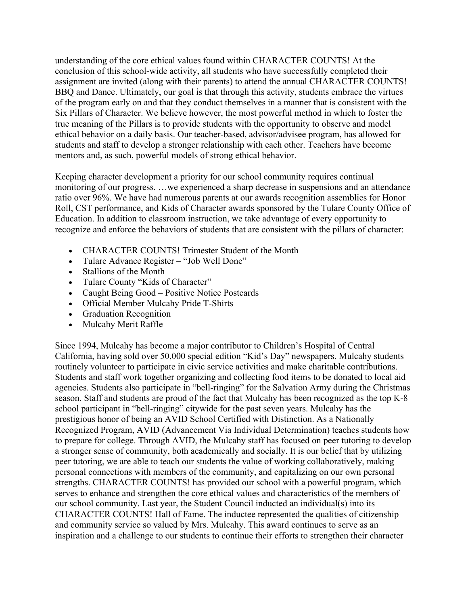understanding of the core ethical values found within CHARACTER COUNTS! At the conclusion of this school-wide activity, all students who have successfully completed their assignment are invited (along with their parents) to attend the annual CHARACTER COUNTS! BBQ and Dance. Ultimately, our goal is that through this activity, students embrace the virtues of the program early on and that they conduct themselves in a manner that is consistent with the Six Pillars of Character. We believe however, the most powerful method in which to foster the true meaning of the Pillars is to provide students with the opportunity to observe and model ethical behavior on a daily basis. Our teacher-based, advisor/advisee program, has allowed for students and staff to develop a stronger relationship with each other. Teachers have become mentors and, as such, powerful models of strong ethical behavior.

Keeping character development a priority for our school community requires continual monitoring of our progress. …we experienced a sharp decrease in suspensions and an attendance ratio over 96%. We have had numerous parents at our awards recognition assemblies for Honor Roll, CST performance, and Kids of Character awards sponsored by the Tulare County Office of Education. In addition to classroom instruction, we take advantage of every opportunity to recognize and enforce the behaviors of students that are consistent with the pillars of character:

- CHARACTER COUNTS! Trimester Student of the Month
- Tulare Advance Register "Job Well Done"
- Stallions of the Month
- Tulare County "Kids of Character"
- Caught Being Good Positive Notice Postcards
- Official Member Mulcahy Pride T-Shirts
- Graduation Recognition
- Mulcahy Merit Raffle

Since 1994, Mulcahy has become a major contributor to Children's Hospital of Central California, having sold over 50,000 special edition "Kid's Day" newspapers. Mulcahy students routinely volunteer to participate in civic service activities and make charitable contributions. Students and staff work together organizing and collecting food items to be donated to local aid agencies. Students also participate in "bell-ringing" for the Salvation Army during the Christmas season. Staff and students are proud of the fact that Mulcahy has been recognized as the top K-8 school participant in "bell-ringing" citywide for the past seven years. Mulcahy has the prestigious honor of being an AVID School Certified with Distinction. As a Nationally Recognized Program, AVID (Advancement Via Individual Determination) teaches students how to prepare for college. Through AVID, the Mulcahy staff has focused on peer tutoring to develop a stronger sense of community, both academically and socially. It is our belief that by utilizing peer tutoring, we are able to teach our students the value of working collaboratively, making personal connections with members of the community, and capitalizing on our own personal strengths. CHARACTER COUNTS! has provided our school with a powerful program, which serves to enhance and strengthen the core ethical values and characteristics of the members of our school community. Last year, the Student Council inducted an individual(s) into its CHARACTER COUNTS! Hall of Fame. The inductee represented the qualities of citizenship and community service so valued by Mrs. Mulcahy. This award continues to serve as an inspiration and a challenge to our students to continue their efforts to strengthen their character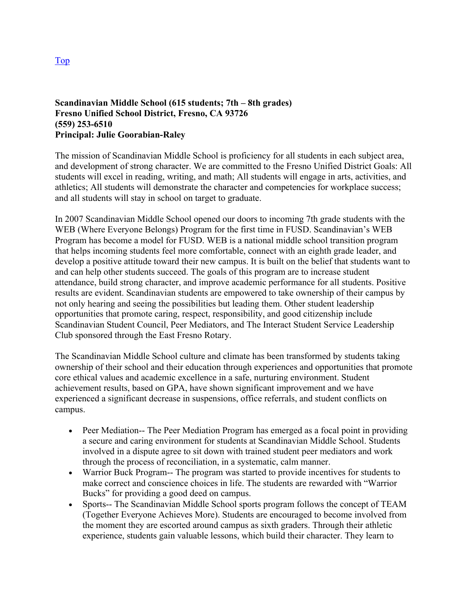#### **Scandinavian Middle School (615 students; 7th – 8th grades) Fresno Unified School District, Fresno, CA 93726 (559) 253-6510 Principal: Julie Goorabian-Raley**

The mission of Scandinavian Middle School is proficiency for all students in each subject area, and development of strong character. We are committed to the Fresno Unified District Goals: All students will excel in reading, writing, and math; All students will engage in arts, activities, and athletics; All students will demonstrate the character and competencies for workplace success; and all students will stay in school on target to graduate.

In 2007 Scandinavian Middle School opened our doors to incoming 7th grade students with the WEB (Where Everyone Belongs) Program for the first time in FUSD. Scandinavian's WEB Program has become a model for FUSD. WEB is a national middle school transition program that helps incoming students feel more comfortable, connect with an eighth grade leader, and develop a positive attitude toward their new campus. It is built on the belief that students want to and can help other students succeed. The goals of this program are to increase student attendance, build strong character, and improve academic performance for all students. Positive results are evident. Scandinavian students are empowered to take ownership of their campus by not only hearing and seeing the possibilities but leading them. Other student leadership opportunities that promote caring, respect, responsibility, and good citizenship include Scandinavian Student Council, Peer Mediators, and The Interact Student Service Leadership Club sponsored through the East Fresno Rotary.

The Scandinavian Middle School culture and climate has been transformed by students taking ownership of their school and their education through experiences and opportunities that promote core ethical values and academic excellence in a safe, nurturing environment. Student achievement results, based on GPA, have shown significant improvement and we have experienced a significant decrease in suspensions, office referrals, and student conflicts on campus.

- Peer Mediation-- The Peer Mediation Program has emerged as a focal point in providing a secure and caring environment for students at Scandinavian Middle School. Students involved in a dispute agree to sit down with trained student peer mediators and work through the process of reconciliation, in a systematic, calm manner.
- Warrior Buck Program— The program was started to provide incentives for students to make correct and conscience choices in life. The students are rewarded with "Warrior Bucks" for providing a good deed on campus.
- Sports-- The Scandinavian Middle School sports program follows the concept of TEAM (Together Everyone Achieves More). Students are encouraged to become involved from the moment they are escorted around campus as sixth graders. Through their athletic experience, students gain valuable lessons, which build their character. They learn to

Top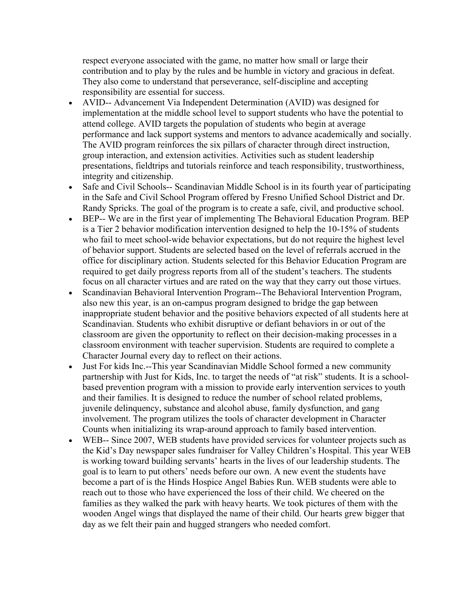respect everyone associated with the game, no matter how small or large their contribution and to play by the rules and be humble in victory and gracious in defeat. They also come to understand that perseverance, self-discipline and accepting responsibility are essential for success.

- AVID-- Advancement Via Independent Determination (AVID) was designed for implementation at the middle school level to support students who have the potential to attend college. AVID targets the population of students who begin at average performance and lack support systems and mentors to advance academically and socially. The AVID program reinforces the six pillars of character through direct instruction, group interaction, and extension activities. Activities such as student leadership presentations, fieldtrips and tutorials reinforce and teach responsibility, trustworthiness, integrity and citizenship.
- Safe and Civil Schools-- Scandinavian Middle School is in its fourth year of participating in the Safe and Civil School Program offered by Fresno Unified School District and Dr. Randy Spricks. The goal of the program is to create a safe, civil, and productive school.
- BEP-- We are in the first year of implementing The Behavioral Education Program. BEP is a Tier 2 behavior modification intervention designed to help the 10-15% of students who fail to meet school-wide behavior expectations, but do not require the highest level of behavior support. Students are selected based on the level of referrals accrued in the office for disciplinary action. Students selected for this Behavior Education Program are required to get daily progress reports from all of the student's teachers. The students focus on all character virtues and are rated on the way that they carry out those virtues.
- Scandinavian Behavioral Intervention Program--The Behavioral Intervention Program, also new this year, is an on-campus program designed to bridge the gap between inappropriate student behavior and the positive behaviors expected of all students here at Scandinavian. Students who exhibit disruptive or defiant behaviors in or out of the classroom are given the opportunity to reflect on their decision-making processes in a classroom environment with teacher supervision. Students are required to complete a Character Journal every day to reflect on their actions.
- Just For kids Inc.--This year Scandinavian Middle School formed a new community partnership with Just for Kids, Inc. to target the needs of "at risk" students. It is a schoolbased prevention program with a mission to provide early intervention services to youth and their families. It is designed to reduce the number of school related problems, juvenile delinquency, substance and alcohol abuse, family dysfunction, and gang involvement. The program utilizes the tools of character development in Character Counts when initializing its wrap-around approach to family based intervention.
- WEB-- Since 2007, WEB students have provided services for volunteer projects such as the Kid's Day newspaper sales fundraiser for Valley Children's Hospital. This year WEB is working toward building servants' hearts in the lives of our leadership students. The goal is to learn to put others' needs before our own. A new event the students have become a part of is the Hinds Hospice Angel Babies Run. WEB students were able to reach out to those who have experienced the loss of their child. We cheered on the families as they walked the park with heavy hearts. We took pictures of them with the wooden Angel wings that displayed the name of their child. Our hearts grew bigger that day as we felt their pain and hugged strangers who needed comfort.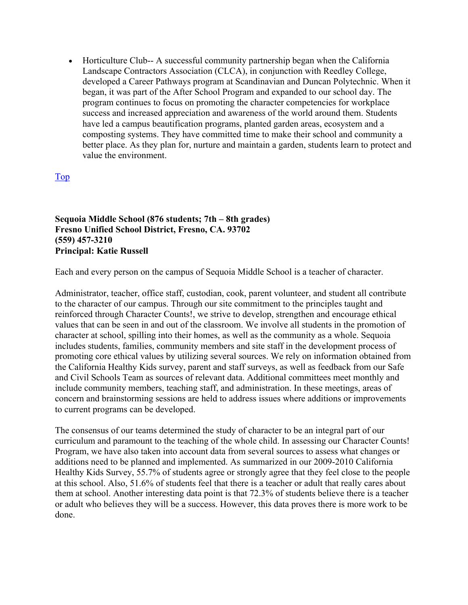• Horticulture Club-- A successful community partnership began when the California Landscape Contractors Association (CLCA), in conjunction with Reedley College, developed a Career Pathways program at Scandinavian and Duncan Polytechnic. When it began, it was part of the After School Program and expanded to our school day. The program continues to focus on promoting the character competencies for workplace success and increased appreciation and awareness of the world around them. Students have led a campus beautification programs, planted garden areas, ecosystem and a composting systems. They have committed time to make their school and community a better place. As they plan for, nurture and maintain a garden, students learn to protect and value the environment.

Top

**Sequoia Middle School (876 students; 7th – 8th grades) Fresno Unified School District, Fresno, CA. 93702 (559) 457-3210 Principal: Katie Russell** 

Each and every person on the campus of Sequoia Middle School is a teacher of character.

Administrator, teacher, office staff, custodian, cook, parent volunteer, and student all contribute to the character of our campus. Through our site commitment to the principles taught and reinforced through Character Counts!, we strive to develop, strengthen and encourage ethical values that can be seen in and out of the classroom. We involve all students in the promotion of character at school, spilling into their homes, as well as the community as a whole. Sequoia includes students, families, community members and site staff in the development process of promoting core ethical values by utilizing several sources. We rely on information obtained from the California Healthy Kids survey, parent and staff surveys, as well as feedback from our Safe and Civil Schools Team as sources of relevant data. Additional committees meet monthly and include community members, teaching staff, and administration. In these meetings, areas of concern and brainstorming sessions are held to address issues where additions or improvements to current programs can be developed.

The consensus of our teams determined the study of character to be an integral part of our curriculum and paramount to the teaching of the whole child. In assessing our Character Counts! Program, we have also taken into account data from several sources to assess what changes or additions need to be planned and implemented. As summarized in our 2009-2010 California Healthy Kids Survey, 55.7% of students agree or strongly agree that they feel close to the people at this school. Also, 51.6% of students feel that there is a teacher or adult that really cares about them at school. Another interesting data point is that 72.3% of students believe there is a teacher or adult who believes they will be a success. However, this data proves there is more work to be done.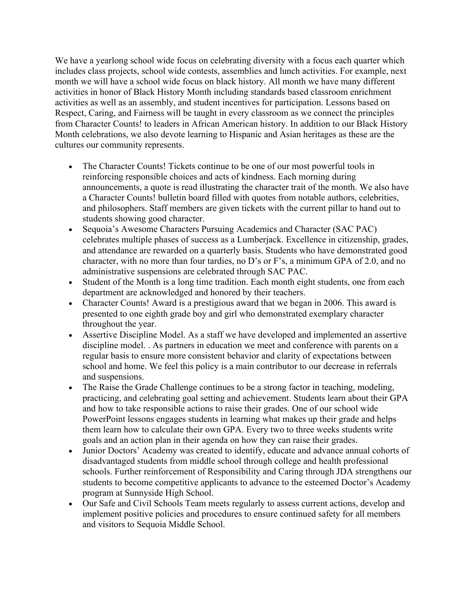We have a yearlong school wide focus on celebrating diversity with a focus each quarter which includes class projects, school wide contests, assemblies and lunch activities. For example, next month we will have a school wide focus on black history. All month we have many different activities in honor of Black History Month including standards based classroom enrichment activities as well as an assembly, and student incentives for participation. Lessons based on Respect, Caring, and Fairness will be taught in every classroom as we connect the principles from Character Counts! to leaders in African American history. In addition to our Black History Month celebrations, we also devote learning to Hispanic and Asian heritages as these are the cultures our community represents.

- The Character Counts! Tickets continue to be one of our most powerful tools in reinforcing responsible choices and acts of kindness. Each morning during announcements, a quote is read illustrating the character trait of the month. We also have a Character Counts! bulletin board filled with quotes from notable authors, celebrities, and philosophers. Staff members are given tickets with the current pillar to hand out to students showing good character.
- Sequoia's Awesome Characters Pursuing Academics and Character (SAC PAC) celebrates multiple phases of success as a Lumberjack. Excellence in citizenship, grades, and attendance are rewarded on a quarterly basis. Students who have demonstrated good character, with no more than four tardies, no D's or F's, a minimum GPA of 2.0, and no administrative suspensions are celebrated through SAC PAC.
- Student of the Month is a long time tradition. Each month eight students, one from each department are acknowledged and honored by their teachers.
- Character Counts! Award is a prestigious award that we began in 2006. This award is presented to one eighth grade boy and girl who demonstrated exemplary character throughout the year.
- Assertive Discipline Model. As a staff we have developed and implemented an assertive discipline model. . As partners in education we meet and conference with parents on a regular basis to ensure more consistent behavior and clarity of expectations between school and home. We feel this policy is a main contributor to our decrease in referrals and suspensions.
- The Raise the Grade Challenge continues to be a strong factor in teaching, modeling, practicing, and celebrating goal setting and achievement. Students learn about their GPA and how to take responsible actions to raise their grades. One of our school wide PowerPoint lessons engages students in learning what makes up their grade and helps them learn how to calculate their own GPA. Every two to three weeks students write goals and an action plan in their agenda on how they can raise their grades.
- Junior Doctors' Academy was created to identify, educate and advance annual cohorts of disadvantaged students from middle school through college and health professional schools. Further reinforcement of Responsibility and Caring through JDA strengthens our students to become competitive applicants to advance to the esteemed Doctor's Academy program at Sunnyside High School.
- Our Safe and Civil Schools Team meets regularly to assess current actions, develop and implement positive policies and procedures to ensure continued safety for all members and visitors to Sequoia Middle School.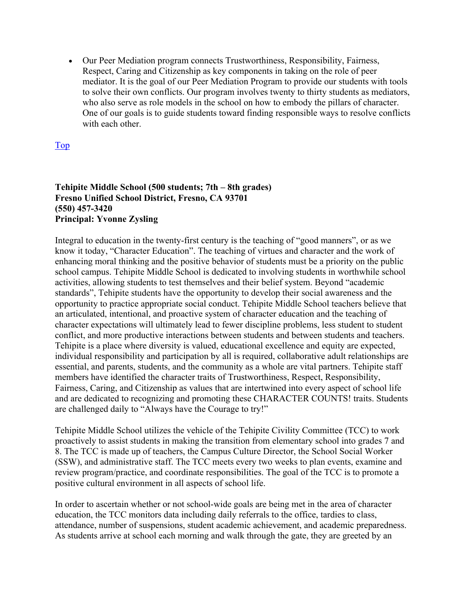• Our Peer Mediation program connects Trustworthiness, Responsibility, Fairness, Respect, Caring and Citizenship as key components in taking on the role of peer mediator. It is the goal of our Peer Mediation Program to provide our students with tools to solve their own conflicts. Our program involves twenty to thirty students as mediators, who also serve as role models in the school on how to embody the pillars of character. One of our goals is to guide students toward finding responsible ways to resolve conflicts with each other.

Top

#### **Tehipite Middle School (500 students; 7th – 8th grades) Fresno Unified School District, Fresno, CA 93701 (550) 457-3420 Principal: Yvonne Zysling**

Integral to education in the twenty-first century is the teaching of "good manners", or as we know it today, "Character Education". The teaching of virtues and character and the work of enhancing moral thinking and the positive behavior of students must be a priority on the public school campus. Tehipite Middle School is dedicated to involving students in worthwhile school activities, allowing students to test themselves and their belief system. Beyond "academic standards", Tehipite students have the opportunity to develop their social awareness and the opportunity to practice appropriate social conduct. Tehipite Middle School teachers believe that an articulated, intentional, and proactive system of character education and the teaching of character expectations will ultimately lead to fewer discipline problems, less student to student conflict, and more productive interactions between students and between students and teachers. Tehipite is a place where diversity is valued, educational excellence and equity are expected, individual responsibility and participation by all is required, collaborative adult relationships are essential, and parents, students, and the community as a whole are vital partners. Tehipite staff members have identified the character traits of Trustworthiness, Respect, Responsibility, Fairness, Caring, and Citizenship as values that are intertwined into every aspect of school life and are dedicated to recognizing and promoting these CHARACTER COUNTS! traits. Students are challenged daily to "Always have the Courage to try!"

Tehipite Middle School utilizes the vehicle of the Tehipite Civility Committee (TCC) to work proactively to assist students in making the transition from elementary school into grades 7 and 8. The TCC is made up of teachers, the Campus Culture Director, the School Social Worker (SSW), and administrative staff. The TCC meets every two weeks to plan events, examine and review program/practice, and coordinate responsibilities. The goal of the TCC is to promote a positive cultural environment in all aspects of school life.

In order to ascertain whether or not school-wide goals are being met in the area of character education, the TCC monitors data including daily referrals to the office, tardies to class, attendance, number of suspensions, student academic achievement, and academic preparedness. As students arrive at school each morning and walk through the gate, they are greeted by an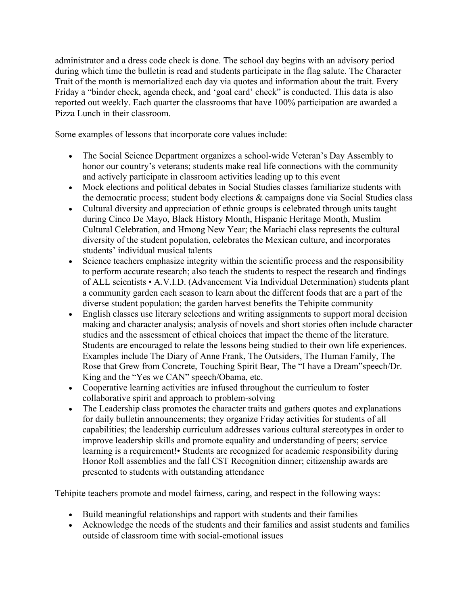administrator and a dress code check is done. The school day begins with an advisory period during which time the bulletin is read and students participate in the flag salute. The Character Trait of the month is memorialized each day via quotes and information about the trait. Every Friday a "binder check, agenda check, and 'goal card' check" is conducted. This data is also reported out weekly. Each quarter the classrooms that have 100% participation are awarded a Pizza Lunch in their classroom.

Some examples of lessons that incorporate core values include:

- The Social Science Department organizes a school-wide Veteran's Day Assembly to honor our country's veterans; students make real life connections with the community and actively participate in classroom activities leading up to this event
- Mock elections and political debates in Social Studies classes familiarize students with the democratic process; student body elections & campaigns done via Social Studies class
- Cultural diversity and appreciation of ethnic groups is celebrated through units taught during Cinco De Mayo, Black History Month, Hispanic Heritage Month, Muslim Cultural Celebration, and Hmong New Year; the Mariachi class represents the cultural diversity of the student population, celebrates the Mexican culture, and incorporates students' individual musical talents
- Science teachers emphasize integrity within the scientific process and the responsibility to perform accurate research; also teach the students to respect the research and findings of ALL scientists • A.V.I.D. (Advancement Via Individual Determination) students plant a community garden each season to learn about the different foods that are a part of the diverse student population; the garden harvest benefits the Tehipite community
- English classes use literary selections and writing assignments to support moral decision making and character analysis; analysis of novels and short stories often include character studies and the assessment of ethical choices that impact the theme of the literature. Students are encouraged to relate the lessons being studied to their own life experiences. Examples include The Diary of Anne Frank, The Outsiders, The Human Family, The Rose that Grew from Concrete, Touching Spirit Bear, The "I have a Dream"speech/Dr. King and the "Yes we CAN" speech/Obama, etc.
- Cooperative learning activities are infused throughout the curriculum to foster collaborative spirit and approach to problem-solving
- The Leadership class promotes the character traits and gathers quotes and explanations for daily bulletin announcements; they organize Friday activities for students of all capabilities; the leadership curriculum addresses various cultural stereotypes in order to improve leadership skills and promote equality and understanding of peers; service learning is a requirement!• Students are recognized for academic responsibility during Honor Roll assemblies and the fall CST Recognition dinner; citizenship awards are presented to students with outstanding attendance

Tehipite teachers promote and model fairness, caring, and respect in the following ways:

- Build meaningful relationships and rapport with students and their families
- Acknowledge the needs of the students and their families and assist students and families outside of classroom time with social-emotional issues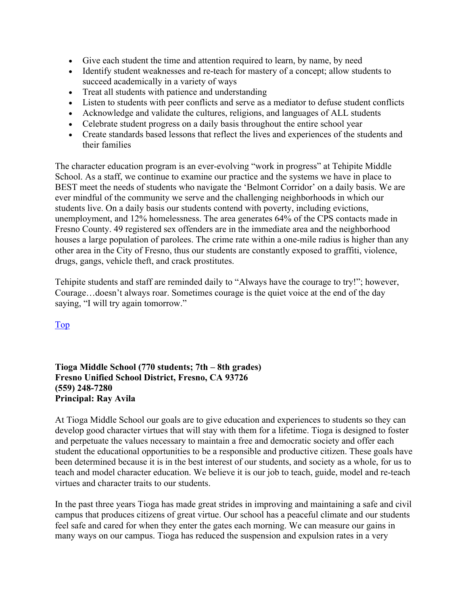- Give each student the time and attention required to learn, by name, by need
- Identify student weaknesses and re-teach for mastery of a concept; allow students to succeed academically in a variety of ways
- Treat all students with patience and understanding
- Listen to students with peer conflicts and serve as a mediator to defuse student conflicts
- Acknowledge and validate the cultures, religions, and languages of ALL students
- Celebrate student progress on a daily basis throughout the entire school year
- Create standards based lessons that reflect the lives and experiences of the students and their families

The character education program is an ever-evolving "work in progress" at Tehipite Middle School. As a staff, we continue to examine our practice and the systems we have in place to BEST meet the needs of students who navigate the 'Belmont Corridor' on a daily basis. We are ever mindful of the community we serve and the challenging neighborhoods in which our students live. On a daily basis our students contend with poverty, including evictions, unemployment, and 12% homelessness. The area generates 64% of the CPS contacts made in Fresno County. 49 registered sex offenders are in the immediate area and the neighborhood houses a large population of parolees. The crime rate within a one-mile radius is higher than any other area in the City of Fresno, thus our students are constantly exposed to graffiti, violence, drugs, gangs, vehicle theft, and crack prostitutes.

Tehipite students and staff are reminded daily to "Always have the courage to try!"; however, Courage…doesn't always roar. Sometimes courage is the quiet voice at the end of the day saying, "I will try again tomorrow."

Top

#### **Tioga Middle School (770 students; 7th – 8th grades) Fresno Unified School District, Fresno, CA 93726 (559) 248-7280 Principal: Ray Avila**

At Tioga Middle School our goals are to give education and experiences to students so they can develop good character virtues that will stay with them for a lifetime. Tioga is designed to foster and perpetuate the values necessary to maintain a free and democratic society and offer each student the educational opportunities to be a responsible and productive citizen. These goals have been determined because it is in the best interest of our students, and society as a whole, for us to teach and model character education. We believe it is our job to teach, guide, model and re-teach virtues and character traits to our students.

In the past three years Tioga has made great strides in improving and maintaining a safe and civil campus that produces citizens of great virtue. Our school has a peaceful climate and our students feel safe and cared for when they enter the gates each morning. We can measure our gains in many ways on our campus. Tioga has reduced the suspension and expulsion rates in a very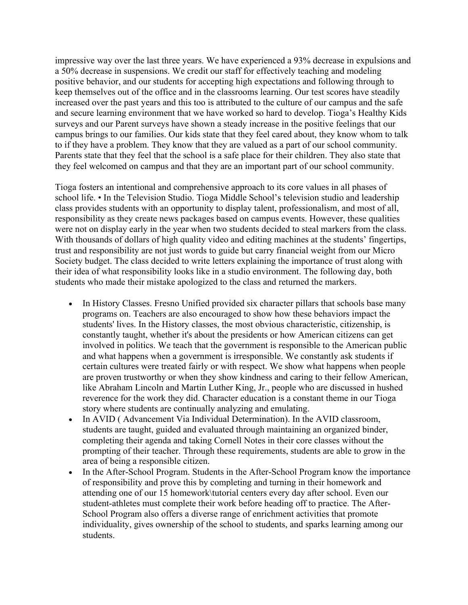impressive way over the last three years. We have experienced a 93% decrease in expulsions and a 50% decrease in suspensions. We credit our staff for effectively teaching and modeling positive behavior, and our students for accepting high expectations and following through to keep themselves out of the office and in the classrooms learning. Our test scores have steadily increased over the past years and this too is attributed to the culture of our campus and the safe and secure learning environment that we have worked so hard to develop. Tioga's Healthy Kids surveys and our Parent surveys have shown a steady increase in the positive feelings that our campus brings to our families. Our kids state that they feel cared about, they know whom to talk to if they have a problem. They know that they are valued as a part of our school community. Parents state that they feel that the school is a safe place for their children. They also state that they feel welcomed on campus and that they are an important part of our school community.

Tioga fosters an intentional and comprehensive approach to its core values in all phases of school life. • In the Television Studio. Tioga Middle School's television studio and leadership class provides students with an opportunity to display talent, professionalism, and most of all, responsibility as they create news packages based on campus events. However, these qualities were not on display early in the year when two students decided to steal markers from the class. With thousands of dollars of high quality video and editing machines at the students' fingertips, trust and responsibility are not just words to guide but carry financial weight from our Micro Society budget. The class decided to write letters explaining the importance of trust along with their idea of what responsibility looks like in a studio environment. The following day, both students who made their mistake apologized to the class and returned the markers.

- In History Classes. Fresno Unified provided six character pillars that schools base many programs on. Teachers are also encouraged to show how these behaviors impact the students' lives. In the History classes, the most obvious characteristic, citizenship, is constantly taught, whether it's about the presidents or how American citizens can get involved in politics. We teach that the government is responsible to the American public and what happens when a government is irresponsible. We constantly ask students if certain cultures were treated fairly or with respect. We show what happens when people are proven trustworthy or when they show kindness and caring to their fellow American, like Abraham Lincoln and Martin Luther King, Jr., people who are discussed in hushed reverence for the work they did. Character education is a constant theme in our Tioga story where students are continually analyzing and emulating.
- In AVID (Advancement Via Individual Determination). In the AVID classroom, students are taught, guided and evaluated through maintaining an organized binder, completing their agenda and taking Cornell Notes in their core classes without the prompting of their teacher. Through these requirements, students are able to grow in the area of being a responsible citizen.
- In the After-School Program. Students in the After-School Program know the importance of responsibility and prove this by completing and turning in their homework and attending one of our 15 homework\tutorial centers every day after school. Even our student-athletes must complete their work before heading off to practice. The After-School Program also offers a diverse range of enrichment activities that promote individuality, gives ownership of the school to students, and sparks learning among our students.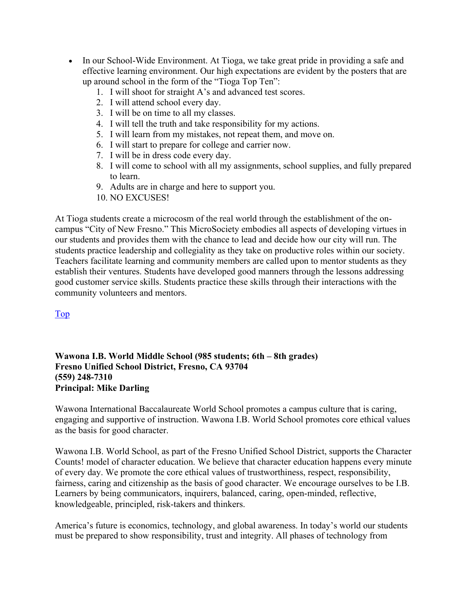- In our School-Wide Environment. At Tioga, we take great pride in providing a safe and effective learning environment. Our high expectations are evident by the posters that are up around school in the form of the "Tioga Top Ten":
	- 1. I will shoot for straight A's and advanced test scores.
	- 2. I will attend school every day.
	- 3. I will be on time to all my classes.
	- 4. I will tell the truth and take responsibility for my actions.
	- 5. I will learn from my mistakes, not repeat them, and move on.
	- 6. I will start to prepare for college and carrier now.
	- 7. I will be in dress code every day.
	- 8. I will come to school with all my assignments, school supplies, and fully prepared to learn.
	- 9. Adults are in charge and here to support you.
	- 10. NO EXCUSES!

At Tioga students create a microcosm of the real world through the establishment of the on‐ campus "City of New Fresno." This MicroSociety embodies all aspects of developing virtues in our students and provides them with the chance to lead and decide how our city will run. The students practice leadership and collegiality as they take on productive roles within our society. Teachers facilitate learning and community members are called upon to mentor students as they establish their ventures. Students have developed good manners through the lessons addressing good customer service skills. Students practice these skills through their interactions with the community volunteers and mentors.

Top

#### **Wawona I.B. World Middle School (985 students; 6th – 8th grades) Fresno Unified School District, Fresno, CA 93704 (559) 248-7310 Principal: Mike Darling**

Wawona International Baccalaureate World School promotes a campus culture that is caring, engaging and supportive of instruction. Wawona I.B. World School promotes core ethical values as the basis for good character.

Wawona I.B. World School, as part of the Fresno Unified School District, supports the Character Counts! model of character education. We believe that character education happens every minute of every day. We promote the core ethical values of trustworthiness, respect, responsibility, fairness, caring and citizenship as the basis of good character. We encourage ourselves to be I.B. Learners by being communicators, inquirers, balanced, caring, open-minded, reflective, knowledgeable, principled, risk-takers and thinkers.

America's future is economics, technology, and global awareness. In today's world our students must be prepared to show responsibility, trust and integrity. All phases of technology from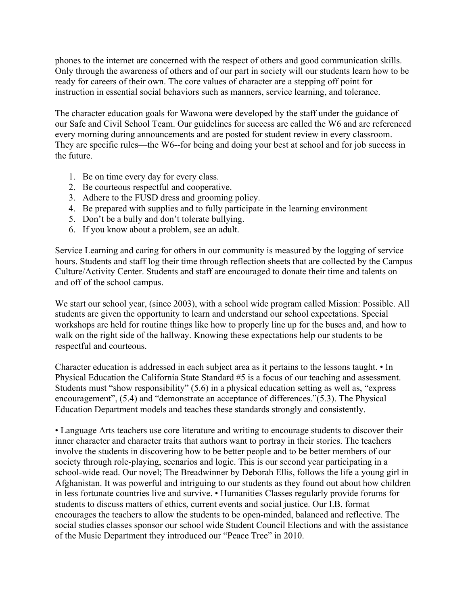phones to the internet are concerned with the respect of others and good communication skills. Only through the awareness of others and of our part in society will our students learn how to be ready for careers of their own. The core values of character are a stepping off point for instruction in essential social behaviors such as manners, service learning, and tolerance.

The character education goals for Wawona were developed by the staff under the guidance of our Safe and Civil School Team. Our guidelines for success are called the W6 and are referenced every morning during announcements and are posted for student review in every classroom. They are specific rules—the W6--for being and doing your best at school and for job success in the future.

- 1. Be on time every day for every class.
- 2. Be courteous respectful and cooperative.
- 3. Adhere to the FUSD dress and grooming policy.
- 4. Be prepared with supplies and to fully participate in the learning environment
- 5. Don't be a bully and don't tolerate bullying.
- 6. If you know about a problem, see an adult.

Service Learning and caring for others in our community is measured by the logging of service hours. Students and staff log their time through reflection sheets that are collected by the Campus Culture/Activity Center. Students and staff are encouraged to donate their time and talents on and off of the school campus.

We start our school year, (since 2003), with a school wide program called Mission: Possible. All students are given the opportunity to learn and understand our school expectations. Special workshops are held for routine things like how to properly line up for the buses and, and how to walk on the right side of the hallway. Knowing these expectations help our students to be respectful and courteous.

Character education is addressed in each subject area as it pertains to the lessons taught. • In Physical Education the California State Standard #5 is a focus of our teaching and assessment. Students must "show responsibility" (5.6) in a physical education setting as well as, "express encouragement", (5.4) and "demonstrate an acceptance of differences."(5.3). The Physical Education Department models and teaches these standards strongly and consistently.

• Language Arts teachers use core literature and writing to encourage students to discover their inner character and character traits that authors want to portray in their stories. The teachers involve the students in discovering how to be better people and to be better members of our society through role-playing, scenarios and logic. This is our second year participating in a school-wide read. Our novel; The Breadwinner by Deborah Ellis, follows the life a young girl in Afghanistan. It was powerful and intriguing to our students as they found out about how children in less fortunate countries live and survive. • Humanities Classes regularly provide forums for students to discuss matters of ethics, current events and social justice. Our I.B. format encourages the teachers to allow the students to be open-minded, balanced and reflective. The social studies classes sponsor our school wide Student Council Elections and with the assistance of the Music Department they introduced our "Peace Tree" in 2010.